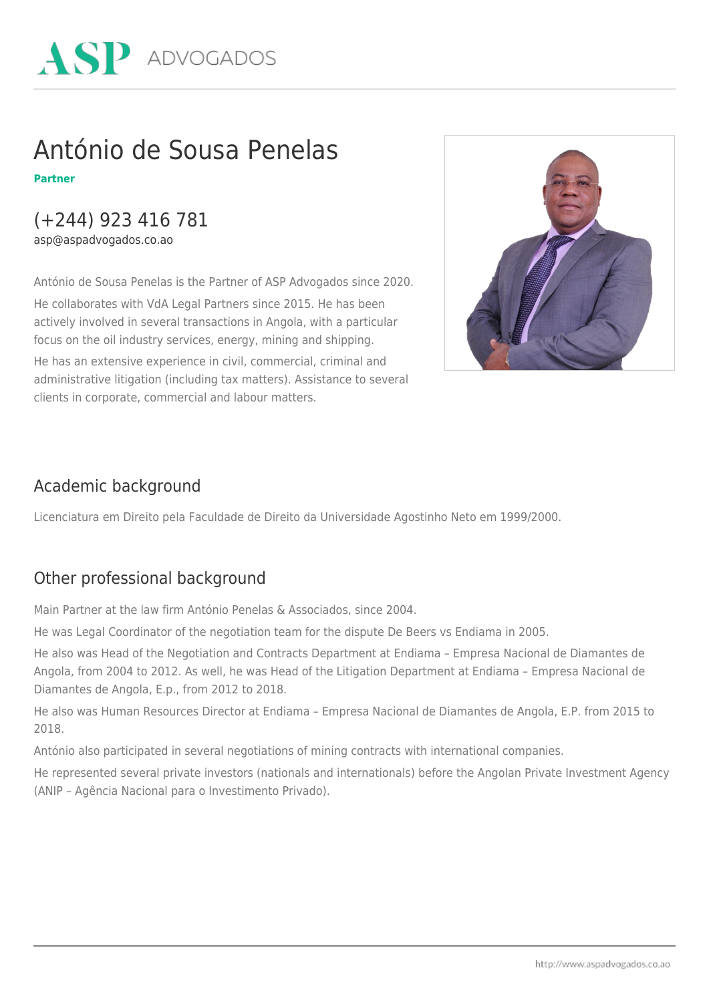

## António de Sousa Penelas

**Partner**

### (+244) 923 416 781

asp@aspadvogados.co.ao

António de Sousa Penelas is the Partner of ASP Advogados since 2020.

He collaborates with VdA Legal Partners since 2015. He has been actively involved in several transactions in Angola, with a particular focus on the oil industry services, energy, mining and shipping.

He has an extensive experience in civil, commercial, criminal and administrative litigation (including tax matters). Assistance to several clients in corporate, commercial and labour matters.



#### Academic background

Licenciatura em Direito pela Faculdade de Direito da Universidade Agostinho Neto em 1999/2000.

#### Other professional background

Main Partner at the law firm António Penelas & Associados, since 2004.

He was Legal Coordinator of the negotiation team for the dispute De Beers vs Endiama in 2005.

He also was Head of the Negotiation and Contracts Department at Endiama – Empresa Nacional de Diamantes de Angola, from 2004 to 2012. As well, he was Head of the Litigation Department at Endiama – Empresa Nacional de Diamantes de Angola, E.p., from 2012 to 2018.

He also was Human Resources Director at Endiama – Empresa Nacional de Diamantes de Angola, E.P. from 2015 to 2018.

António also participated in several negotiations of mining contracts with international companies.

He represented several private investors (nationals and internationals) before the Angolan Private Investment Agency (ANIP – Agência Nacional para o Investimento Privado).